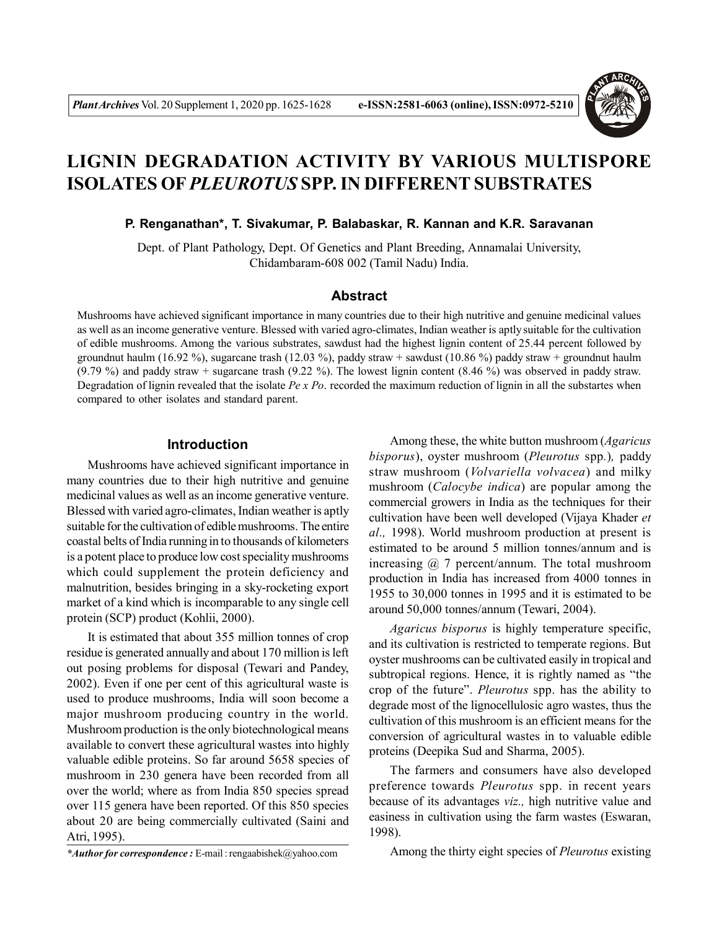

# **LIGNIN DEGRADATION ACTIVITY BY VARIOUS MULTISPORE ISOLATES OF** *PLEUROTUS* **SPP. IN DIFFERENT SUBSTRATES**

#### **P. Renganathan\*, T. Sivakumar, P. Balabaskar, R. Kannan and K.R. Saravanan**

Dept. of Plant Pathology, Dept. Of Genetics and Plant Breeding, Annamalai University, Chidambaram-608 002 (Tamil Nadu) India.

### **Abstract**

Mushrooms have achieved significant importance in many countries due to their high nutritive and genuine medicinal values as well as an income generative venture. Blessed with varied agro-climates, Indian weather is aptly suitable for the cultivation of edible mushrooms. Among the various substrates, sawdust had the highest lignin content of 25.44 percent followed by groundnut haulm (16.92 %), sugarcane trash (12.03 %), paddy straw + sawdust (10.86 %) paddy straw + groundnut haulm (9.79 %) and paddy straw + sugarcane trash (9.22 %). The lowest lignin content (8.46 %) was observed in paddy straw. Degradation of lignin revealed that the isolate *Pe x Po*. recorded the maximum reduction of lignin in all the substartes when compared to other isolates and standard parent.

# **Introduction**

Mushrooms have achieved significant importance in many countries due to their high nutritive and genuine medicinal values as well as an income generative venture. Blessed with varied agro-climates, Indian weather is aptly suitable for the cultivation of edible mushrooms. The entire coastal belts of India running in to thousands of kilometers is a potent place to produce low cost speciality mushrooms which could supplement the protein deficiency and malnutrition, besides bringing in a sky-rocketing export market of a kind which is incomparable to any single cell protein (SCP) product (Kohlii, 2000).

It is estimated that about 355 million tonnes of crop residue is generated annually and about 170 million is left out posing problems for disposal (Tewari and Pandey, 2002). Even if one per cent of this agricultural waste is used to produce mushrooms, India will soon become a major mushroom producing country in the world. Mushroom production is the only biotechnological means available to convert these agricultural wastes into highly valuable edible proteins. So far around 5658 species of mushroom in 230 genera have been recorded from all over the world; where as from India 850 species spread over 115 genera have been reported. Of this 850 species about 20 are being commercially cultivated (Saini and Atri, 1995).

Among these, the white button mushroom (*Agaricus bisporus*), oyster mushroom (*Pleurotus* spp*.*)*,* paddy straw mushroom (*Volvariella volvacea*) and milky mushroom (*Calocybe indica*) are popular among the commercial growers in India as the techniques for their cultivation have been well developed (Vijaya Khader *et al.,* 1998). World mushroom production at present is estimated to be around 5 million tonnes/annum and is increasing  $\omega$  7 percent/annum. The total mushroom production in India has increased from 4000 tonnes in 1955 to 30,000 tonnes in 1995 and it is estimated to be around 50,000 tonnes/annum (Tewari, 2004).

*Agaricus bisporus* is highly temperature specific, and its cultivation is restricted to temperate regions. But oyster mushrooms can be cultivated easily in tropical and subtropical regions. Hence, it is rightly named as "the crop of the future". *Pleurotus* spp. has the ability to degrade most of the lignocellulosic agro wastes, thus the cultivation of this mushroom is an efficient means for the conversion of agricultural wastes in to valuable edible proteins (Deepika Sud and Sharma, 2005).

The farmers and consumers have also developed preference towards *Pleurotus* spp. in recent years because of its advantages *viz.,* high nutritive value and easiness in cultivation using the farm wastes (Eswaran, 1998).

Among the thirty eight species of *Pleurotus* existing

*<sup>\*</sup>Author for correspondence :* E-mail : rengaabishek@yahoo.com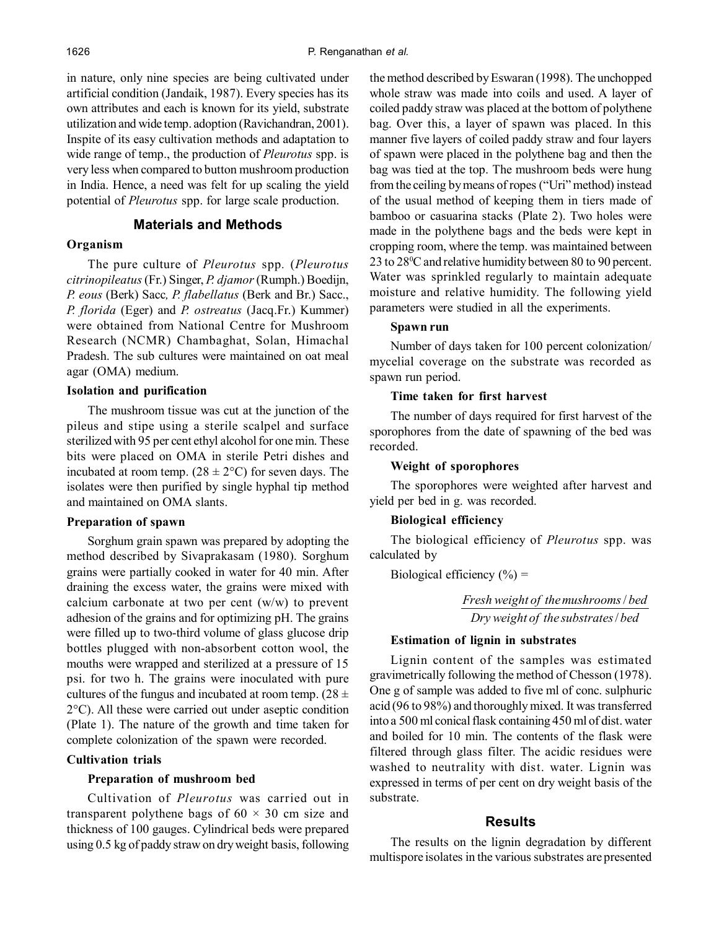in nature, only nine species are being cultivated under artificial condition (Jandaik, 1987). Every species has its own attributes and each is known for its yield, substrate utilization and wide temp. adoption (Ravichandran, 2001). Inspite of its easy cultivation methods and adaptation to wide range of temp., the production of *Pleurotus* spp. is very less when compared to button mushroom production in India. Hence, a need was felt for up scaling the yield potential of *Pleurotus* spp. for large scale production.

# **Materials and Methods**

# **Organism**

The pure culture of *Pleurotus* spp*.* (*Pleurotus citrinopileatus* (Fr.) Singer, *P. djamor* (Rumph.) Boedijn, *P. eous* (Berk) Sacc*, P. flabellatus* (Berk and Br.) Sacc., *P. florida* (Eger) and *P. ostreatus* (Jacq.Fr.) Kummer) were obtained from National Centre for Mushroom Research (NCMR) Chambaghat, Solan, Himachal Pradesh. The sub cultures were maintained on oat meal agar (OMA) medium.

#### **Isolation and purification**

The mushroom tissue was cut at the junction of the pileus and stipe using a sterile scalpel and surface sterilized with 95 per cent ethyl alcohol for one min. These bits were placed on OMA in sterile Petri dishes and incubated at room temp.  $(28 \pm 2^{\circ}C)$  for seven days. The isolates were then purified by single hyphal tip method and maintained on OMA slants.

#### **Preparation of spawn**

Sorghum grain spawn was prepared by adopting the method described by Sivaprakasam (1980). Sorghum grains were partially cooked in water for 40 min. After draining the excess water, the grains were mixed with calcium carbonate at two per cent (w/w) to prevent adhesion of the grains and for optimizing pH. The grains were filled up to two-third volume of glass glucose drip bottles plugged with non-absorbent cotton wool, the mouths were wrapped and sterilized at a pressure of 15 psi. for two h. The grains were inoculated with pure cultures of the fungus and incubated at room temp.  $(28 \pm 1)$ 2°C). All these were carried out under aseptic condition (Plate 1). The nature of the growth and time taken for complete colonization of the spawn were recorded.

#### **Cultivation trials**

#### **Preparation of mushroom bed**

Cultivation of *Pleurotus* was carried out in transparent polythene bags of  $60 \times 30$  cm size and thickness of 100 gauges. Cylindrical beds were prepared using 0.5 kg of paddy straw on dry weight basis, following the method described by Eswaran (1998). The unchopped whole straw was made into coils and used. A layer of coiled paddy straw was placed at the bottom of polythene bag. Over this, a layer of spawn was placed. In this manner five layers of coiled paddy straw and four layers of spawn were placed in the polythene bag and then the bag was tied at the top. The mushroom beds were hung from the ceiling by means of ropes ("Uri" method) instead of the usual method of keeping them in tiers made of bamboo or casuarina stacks (Plate 2). Two holes were made in the polythene bags and the beds were kept in cropping room, where the temp. was maintained between 23 to 28<sup>0</sup>C and relative humidity between 80 to 90 percent. Water was sprinkled regularly to maintain adequate moisture and relative humidity. The following yield parameters were studied in all the experiments.

# **Spawn run**

Number of days taken for 100 percent colonization/ mycelial coverage on the substrate was recorded as spawn run period.

#### **Time taken for first harvest**

The number of days required for first harvest of the sporophores from the date of spawning of the bed was recorded.

## **Weight of sporophores**

The sporophores were weighted after harvest and yield per bed in g. was recorded.

## **Biological efficiency**

The biological efficiency of *Pleurotus* spp. was calculated by

Biological efficiency  $(\% )$  =

*Dry weight of the substrates bed* / *Fresh weight of themushrooms bed* /

# **Estimation of lignin in substrates**

Lignin content of the samples was estimated gravimetrically following the method of Chesson (1978). One g of sample was added to five ml of conc. sulphuric acid (96 to 98%) and thoroughly mixed. It was transferred into a 500 ml conical flask containing 450 ml of dist. water and boiled for 10 min. The contents of the flask were filtered through glass filter. The acidic residues were washed to neutrality with dist. water. Lignin was expressed in terms of per cent on dry weight basis of the substrate.

## **Results**

The results on the lignin degradation by different multispore isolates in the various substrates are presented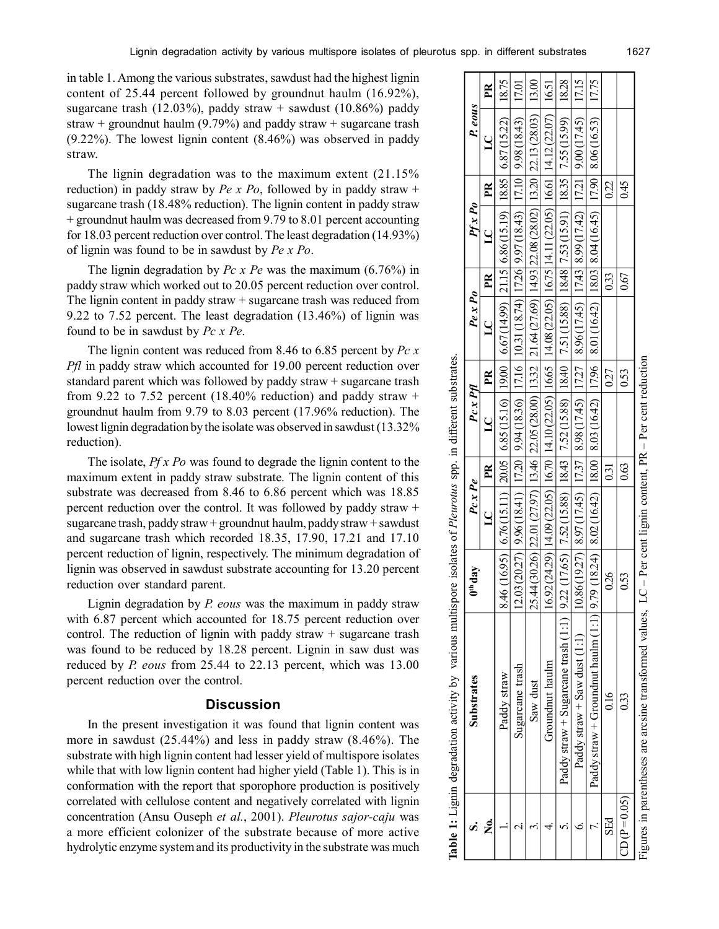|                                     | <b>Table 1:</b> Lignin degradation activity by various multispore isolates of <i>Pleurotus</i> spp. in different substrates.                            |               |               |      |                                                                                                                      |      |         |      |                |      |                                                                                                                                                                                                                                                                                                                                                            |              |
|-------------------------------------|---------------------------------------------------------------------------------------------------------------------------------------------------------|---------------|---------------|------|----------------------------------------------------------------------------------------------------------------------|------|---------|------|----------------|------|------------------------------------------------------------------------------------------------------------------------------------------------------------------------------------------------------------------------------------------------------------------------------------------------------------------------------------------------------------|--------------|
|                                     | <b>Substrates</b>                                                                                                                                       | $0th$ day     | $P_{C}x$ $Pe$ |      | $Pc \times PH$                                                                                                       |      | Pe x Po |      | $Pf \times Po$ |      | P. eous                                                                                                                                                                                                                                                                                                                                                    |              |
| Ż.                                  |                                                                                                                                                         |               | $LC$ PR       |      | $\overline{LC}$   PR                                                                                                 |      | $LC$ PR |      | $LC$ PR        |      | $\overline{a}$                                                                                                                                                                                                                                                                                                                                             | $\mathbb{R}$ |
|                                     | Paddy straw                                                                                                                                             |               |               |      |                                                                                                                      |      |         |      |                |      | 8.46 (16.95)   6.76 (15.11)   20.05   6.85 (15.16)   19.00   6.67 (14.99)   12.15   6.86 (15.19)   18.85   6.87 (15.22)   18.75                                                                                                                                                                                                                            |              |
|                                     | Sugarcane trash                                                                                                                                         | $\frac{5}{2}$ |               |      |                                                                                                                      |      |         |      |                |      | 00 (17.01 17.02 (14.87 ) [01 17.1   17.2   17.2   17.2   17.2   17.2   17.2   17.2   17.2   17.2   17.0   17.0                                                                                                                                                                                                                                             |              |
|                                     | Saw dust                                                                                                                                                |               |               |      | 25.44 (30.26) [22.01 (27.97) [13.46 [22.05 (28.00) [13.32 [21.64 (27.69) [14.93 [22.08 (28.02) [13.20 [22.13 (28.03) |      |         |      |                |      |                                                                                                                                                                                                                                                                                                                                                            | 13.00        |
|                                     | Groundnut haulm                                                                                                                                         |               |               |      |                                                                                                                      |      |         |      |                |      | $16.92(24.29)$ $ 14.09(22.05)  16.70  14.10(22.05)  16.65  14.08(22.05)  16.75  14.11 (22.05)  16.61  14.12 (22.07)  16.51$                                                                                                                                                                                                                                |              |
|                                     | Paddy straw + Sugarcane trash (1:1)   9:22 (17.65)   7:52 (15.88)   18:43   7:52 (15.88)   13:18;   18:38   1:53 (15:91)   18:35   7:53 (15:99)   18:28 |               |               |      |                                                                                                                      |      |         |      |                |      |                                                                                                                                                                                                                                                                                                                                                            |              |
|                                     | Paddy straw + Saw dust $(1:1)$                                                                                                                          |               |               |      |                                                                                                                      |      |         |      |                |      | $\frac{17.37}{10.86(19.27)} \times \frac{97(17.45)}{17.27} \times \frac{17.37}{17.27} \times \frac{17.45}{17.45} \times \frac{17.45}{17.43} \times \frac{17.43}{17.43} \times \frac{17.42}{17.42} \times \frac{17.42}{17.15} \times \frac{17.42}{17.15} \times \frac{17.42}{17.15} \times \frac{17.42}{17.15} \times \frac{17.42}{17.15} \times \frac{17.$ |              |
|                                     | Paddy straw + Groundnut haulm (1:1) 9.79 (18.24) 8.02 (16.42) 18.00   8.03 (16.42)   18.03   8.04 (16.43)   18.03   8.04 (16.43)   17.75                |               |               |      |                                                                                                                      |      |         |      |                |      |                                                                                                                                                                                                                                                                                                                                                            |              |
| SEd                                 | $\frac{6}{16}$                                                                                                                                          | 0.26          |               | 0.31 |                                                                                                                      | 0.27 |         | 033  |                | 0.22 |                                                                                                                                                                                                                                                                                                                                                            |              |
| $\mathbb{CD}$ $(\mathbb{P} = 0.05)$ | 033                                                                                                                                                     | 0.53          |               | 0.63 |                                                                                                                      | 0.53 |         | 0.67 |                | 0.45 |                                                                                                                                                                                                                                                                                                                                                            |              |

Figures in parentheses are arcsine transformed values, LC – Per cent lignin content, PR – Per cent reduction  $-$  Per cent reduction transformed values, LC - Per cent lignin content, PR Figures in parentheses are arcsine

in table 1. Among the various substrates, sawdust had the highest lignin content of 25.44 percent followed by groundnut haulm (16.92%), sugarcane trash (12.03%), paddy straw + sawdust (10.86%) paddy straw + groundnut haulm (9.79%) and paddy straw + sugarcane trash (9.22%). The lowest lignin content (8.46%) was observed in paddy straw.

The lignin degradation was to the maximum extent (21.15% reduction) in paddy straw by *Pe x Po*, followed by in paddy straw + sugarcane trash (18.48% reduction). The lignin content in paddy straw + groundnut haulm was decreased from 9.79 to 8.01 percent accounting for 18.03 percent reduction over control. The least degradation (14.93%) of lignin was found to be in sawdust by *Pe x Po*.

The lignin degradation by *Pc x Pe* was the maximum (6.76%) in paddy straw which worked out to 20.05 percent reduction over control. The lignin content in paddy straw + sugarcane trash was reduced from 9.22 to 7.52 percent. The least degradation (13.46%) of lignin was found to be in sawdust by *Pc x Pe*.

The lignin content was reduced from 8.46 to 6.85 percent by *Pc x Pfl* in paddy straw which accounted for 19.00 percent reduction over standard parent which was followed by paddy straw + sugarcane trash from 9.22 to 7.52 percent (18.40% reduction) and paddy straw  $+$ groundnut haulm from 9.79 to 8.03 percent (17.96% reduction). The lowest lignin degradation by the isolate was observed in sawdust (13.32% reduction).

The isolate, *Pf x Po* was found to degrade the lignin content to the maximum extent in paddy straw substrate. The lignin content of this substrate was decreased from 8.46 to 6.86 percent which was 18.85 percent reduction over the control. It was followed by paddy straw + sugarcane trash, paddy straw + groundnut haulm, paddy straw + sawdust and sugarcane trash which recorded 18.35, 17.90, 17.21 and 17.10 percent reduction of lignin, respectively. The minimum degradation of lignin was observed in sawdust substrate accounting for 13.20 percent reduction over standard parent.

Lignin degradation by *P. eous* was the maximum in paddy straw with 6.87 percent which accounted for 18.75 percent reduction over control. The reduction of lignin with paddy straw  $+$  sugarcane trash was found to be reduced by 18.28 percent. Lignin in saw dust was reduced by *P. eous* from 25.44 to 22.13 percent, which was 13.00 percent reduction over the control.

## **Discussion**

In the present investigation it was found that lignin content was more in sawdust (25.44%) and less in paddy straw (8.46%). The substrate with high lignin content had lesser yield of multispore isolates while that with low lignin content had higher yield (Table 1). This is in conformation with the report that sporophore production is positively correlated with cellulose content and negatively correlated with lignin concentration (Ansu Ouseph *et al.*, 2001). *Pleurotus sajor-caju* was a more efficient colonizer of the substrate because of more active hydrolytic enzyme system and its productivity in the substrate was much